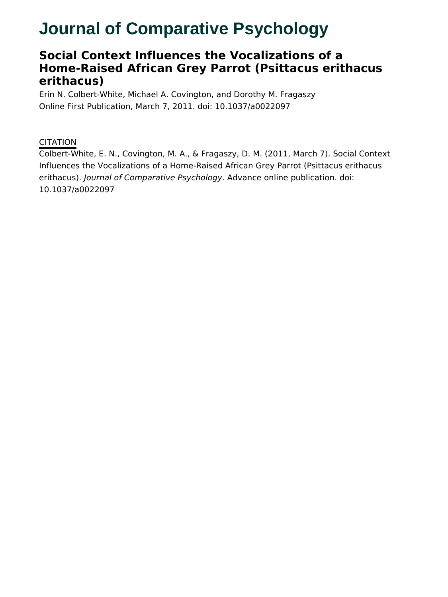# **Journal of Comparative Psychology**

# **Social Context Influences the Vocalizations of a Home-Raised African Grey Parrot (Psittacus erithacus erithacus)**

Erin N. Colbert-White, Michael A. Covington, and Dorothy M. Fragaszy Online First Publication, March 7, 2011. doi: 10.1037/a0022097

## **CITATION**

Colbert-White, E. N., Covington, M. A., & Fragaszy, D. M. (2011, March 7). Social Context Influences the Vocalizations of a Home-Raised African Grey Parrot (Psittacus erithacus erithacus). Journal of Comparative Psychology. Advance online publication. doi: 10.1037/a0022097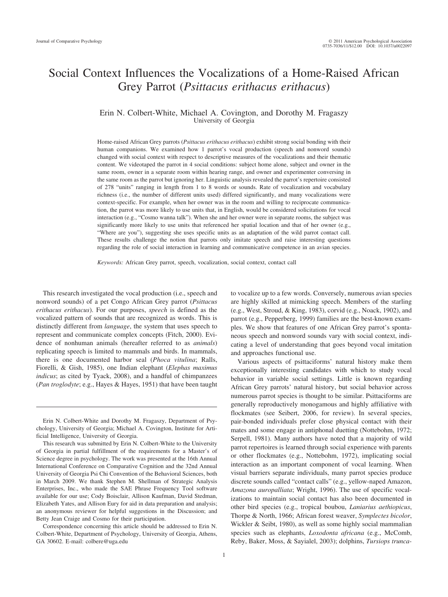# Social Context Influences the Vocalizations of a Home-Raised African Grey Parrot (*Psittacus erithacus erithacus*)

#### Erin N. Colbert-White, Michael A. Covington, and Dorothy M. Fragaszy University of Georgia

Home-raised African Grey parrots (*Psittacus erithacus erithacus*) exhibit strong social bonding with their human companions. We examined how 1 parrot's vocal production (speech and nonword sounds) changed with social context with respect to descriptive measures of the vocalizations and their thematic content. We videotaped the parrot in 4 social conditions: subject home alone, subject and owner in the same room, owner in a separate room within hearing range, and owner and experimenter conversing in the same room as the parrot but ignoring her. Linguistic analysis revealed the parrot's repertoire consisted of 278 "units" ranging in length from 1 to 8 words or sounds. Rate of vocalization and vocabulary richness (i.e., the number of different units used) differed significantly, and many vocalizations were context-specific. For example, when her owner was in the room and willing to reciprocate communication, the parrot was more likely to use units that, in English, would be considered solicitations for vocal interaction (e.g., "Cosmo wanna talk"). When she and her owner were in separate rooms, the subject was significantly more likely to use units that referenced her spatial location and that of her owner (e.g., "Where are you"), suggesting she uses specific units as an adaptation of the wild parrot contact call. These results challenge the notion that parrots only imitate speech and raise interesting questions regarding the role of social interaction in learning and communicative competence in an avian species.

*Keywords:* African Grey parrot, speech, vocalization, social context, contact call

This research investigated the vocal production (i.e., speech and nonword sounds) of a pet Congo African Grey parrot (*Psittacus erithacus erithacus*). For our purposes, *speech* is defined as the vocalized pattern of sounds that are recognized as words. This is distinctly different from *language*, the system that uses speech to represent and communicate complex concepts (Fitch, 2000). Evidence of nonhuman animals (hereafter referred to as *animals*) replicating speech is limited to mammals and birds. In mammals, there is one documented harbor seal (*Phoca vitulina*; Ralls, Fiorelli, & Gish, 1985), one Indian elephant (*Elephas maximus indicus*; as cited by Tyack, 2008), and a handful of chimpanzees (*Pan troglodyte*; e.g., Hayes & Hayes, 1951) that have been taught

Erin N. Colbert-White and Dorothy M. Fragaszy, Department of Psychology, University of Georgia; Michael A. Covington, Institute for Artificial Intelligence, University of Georgia.

This research was submitted by Erin N. Colbert-White to the University of Georgia in partial fulfillment of the requirements for a Master's of Science degree in psychology. The work was presented at the 16th Annual International Conference on Comparative Cognition and the 32nd Annual University of Georgia Psi Chi Convention of the Behavioral Sciences, both in March 2009. We thank Stephen M. Shellman of Strategic Analysis Enterprises, Inc., who made the SAE Phrase Frequency Tool software available for our use; Cody Boisclair, Allison Kaufman, David Stedman, Elizabeth Yates, and Allison Eury for aid in data preparation and analysis; an anonymous reviewer for helpful suggestions in the Discussion; and Betty Jean Craige and Cosmo for their participation.

Correspondence concerning this article should be addressed to Erin N. Colbert-White, Department of Psychology, University of Georgia, Athens, GA 30602. E-mail: colbere@uga.edu

to vocalize up to a few words. Conversely, numerous avian species are highly skilled at mimicking speech. Members of the starling (e.g., West, Stroud, & King, 1983), corvid (e.g., Noack, 1902), and parrot (e.g., Pepperberg, 1999) families are the best-known examples. We show that features of one African Grey parrot's spontaneous speech and nonword sounds vary with social context, indicating a level of understanding that goes beyond vocal imitation and approaches functional use.

Various aspects of psittaciforms' natural history make them exceptionally interesting candidates with which to study vocal behavior in variable social settings. Little is known regarding African Grey parrots' natural history, but social behavior across numerous parrot species is thought to be similar. Psittaciforms are generally reproductively monogamous and highly affiliative with flockmates (see Seibert, 2006, for review). In several species, pair-bonded individuals prefer close physical contact with their mates and some engage in antiphonal duetting (Nottebohm, 1972; Serpell, 1981). Many authors have noted that a majority of wild parrot repertoires is learned through social experience with parents or other flockmates (e.g., Nottebohm, 1972), implicating social interaction as an important component of vocal learning. When visual barriers separate individuals, many parrot species produce discrete sounds called "contact calls" (e.g., yellow-naped Amazon, *Amazona auropalliata*; Wright, 1996). The use of specific vocalizations to maintain social contact has also been documented in other bird species (e.g., tropical boubou, *Laniarius aethiopicus*, Thorpe & North, 1966; African forest weaver, *Symplectes bicolor*, Wickler & Seibt, 1980), as well as some highly social mammalian species such as elephants, *Loxodonta africana* (e.g., McComb, Reby, Baker, Moss, & Sayialel, 2003); dolphins, *Tursiops trunca-*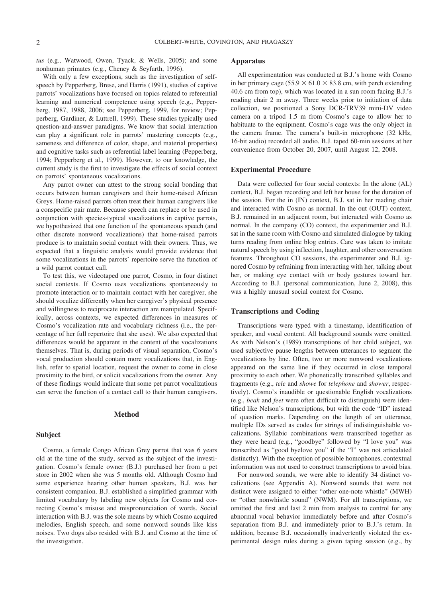*tus* (e.g., Watwood, Owen, Tyack, & Wells, 2005); and some nonhuman primates (e.g., Cheney & Seyfarth, 1996).

With only a few exceptions, such as the investigation of selfspeech by Pepperberg, Brese, and Harris (1991), studies of captive parrots' vocalizations have focused on topics related to referential learning and numerical competence using speech (e.g., Pepperberg, 1987, 1988, 2006; see Pepperberg, 1999, for review; Pepperberg, Gardiner, & Luttrell, 1999). These studies typically used question-and-answer paradigms. We know that social interaction can play a significant role in parrots' mastering concepts (e.g., sameness and difference of color, shape, and material properties) and cognitive tasks such as referential label learning (Pepperberg, 1994; Pepperberg et al., 1999). However, to our knowledge, the current study is the first to investigate the effects of social context on parrots' spontaneous vocalizations.

Any parrot owner can attest to the strong social bonding that occurs between human caregivers and their home-raised African Greys. Home-raised parrots often treat their human caregivers like a conspecific pair mate. Because speech can replace or be used in conjunction with species-typical vocalizations in captive parrots, we hypothesized that one function of the spontaneous speech (and other discrete nonword vocalizations) that home-raised parrots produce is to maintain social contact with their owners. Thus, we expected that a linguistic analysis would provide evidence that some vocalizations in the parrots' repertoire serve the function of a wild parrot contact call.

To test this, we videotaped one parrot, Cosmo, in four distinct social contexts. If Cosmo uses vocalizations spontaneously to promote interaction or to maintain contact with her caregiver, she should vocalize differently when her caregiver's physical presence and willingness to reciprocate interaction are manipulated. Specifically, across contexts, we expected differences in measures of Cosmo's vocalization rate and vocabulary richness (i.e., the percentage of her full repertoire that she uses). We also expected that differences would be apparent in the content of the vocalizations themselves. That is, during periods of visual separation, Cosmo's vocal production should contain more vocalizations that, in English, refer to spatial location, request the owner to come in close proximity to the bird, or solicit vocalizations from the owner. Any of these findings would indicate that some pet parrot vocalizations can serve the function of a contact call to their human caregivers.

#### **Method**

#### **Subject**

Cosmo, a female Congo African Grey parrot that was 6 years old at the time of the study, served as the subject of the investigation. Cosmo's female owner (B.J.) purchased her from a pet store in 2002 when she was 5 months old. Although Cosmo had some experience hearing other human speakers, B.J. was her consistent companion. B.J. established a simplified grammar with limited vocabulary by labeling new objects for Cosmo and correcting Cosmo's misuse and mispronunciation of words. Social interaction with B.J. was the sole means by which Cosmo acquired melodies, English speech, and some nonword sounds like kiss noises. Two dogs also resided with B.J. and Cosmo at the time of the investigation.

#### **Apparatus**

All experimentation was conducted at B.J.'s home with Cosmo in her primary cage (55.9  $\times$  61.0  $\times$  83.8 cm, with perch extending 40.6 cm from top), which was located in a sun room facing B.J.'s reading chair 2 m away. Three weeks prior to initiation of data collection, we positioned a Sony DCR-TRV39 mini-DV video camera on a tripod 1.5 m from Cosmo's cage to allow her to habituate to the equipment. Cosmo's cage was the only object in the camera frame. The camera's built-in microphone (32 kHz, 16-bit audio) recorded all audio. B.J. taped 60-min sessions at her convenience from October 20, 2007, until August 12, 2008.

#### **Experimental Procedure**

Data were collected for four social contexts: In the alone (AL) context, B.J. began recording and left her house for the duration of the session. For the in (IN) context, B.J. sat in her reading chair and interacted with Cosmo as normal. In the out (OUT) context, B.J. remained in an adjacent room, but interacted with Cosmo as normal. In the company (CO) context, the experimenter and B.J. sat in the same room with Cosmo and simulated dialogue by taking turns reading from online blog entries. Care was taken to imitate natural speech by using inflection, laughter, and other conversation features. Throughout CO sessions, the experimenter and B.J. ignored Cosmo by refraining from interacting with her, talking about her, or making eye contact with or body gestures toward her. According to B.J. (personal communication, June 2, 2008), this was a highly unusual social context for Cosmo.

#### **Transcriptions and Coding**

Transcriptions were typed with a timestamp, identification of speaker, and vocal content. All background sounds were omitted. As with Nelson's (1989) transcriptions of her child subject, we used subjective pause lengths between utterances to segment the vocalizations by line. Often, two or more nonword vocalizations appeared on the same line if they occurred in close temporal proximity to each other. We phonetically transcribed syllables and fragments (e.g., *tele* and *showe* for *telephone* and *shower*, respectively). Cosmo's inaudible or questionable English vocalizations (e.g., *beak* and *feet* were often difficult to distinguish) were identified like Nelson's transcriptions, but with the code "ID" instead of question marks. Depending on the length of an utterance, multiple IDs served as codes for strings of indistinguishable vocalizations. Syllabic combinations were transcribed together as they were heard (e.g., "goodbye" followed by "I love you" was transcribed as "good byelove you" if the "I" was not articulated distinctly). With the exception of possible homophones, contextual information was not used to construct transcriptions to avoid bias.

For nonword sounds, we were able to identify 34 distinct vocalizations (see Appendix A). Nonword sounds that were not distinct were assigned to either "other one-note whistle" (MWH) or "other nonwhistle sound" (NWM). For all transcriptions, we omitted the first and last 2 min from analysis to control for any abnormal vocal behavior immediately before and after Cosmo's separation from B.J. and immediately prior to B.J.'s return. In addition, because B.J. occasionally inadvertently violated the experimental design rules during a given taping session (e.g., by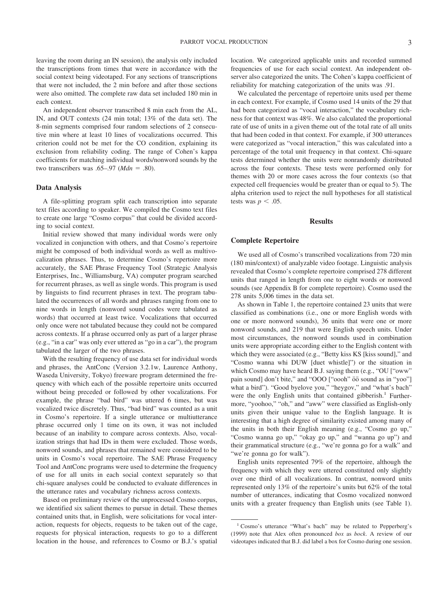leaving the room during an IN session), the analysis only included the transcriptions from times that were in accordance with the social context being videotaped. For any sections of transcriptions that were not included, the 2 min before and after those sections were also omitted. The complete raw data set included 180 min in each context.

An independent observer transcribed 8 min each from the AL, IN, and OUT contexts (24 min total; 13% of the data set). The 8-min segments comprised four random selections of 2 consecutive min where at least 10 lines of vocalizations occurred. This criterion could not be met for the CO condition, explaining its exclusion from reliability coding. The range of Cohen's kappa coefficients for matching individual words/nonword sounds by the two transcribers was  $.65-.97$  (*Mdn* = .80).

#### **Data Analysis**

A file-splitting program split each transcription into separate text files according to speaker. We compiled the Cosmo text files to create one large "Cosmo corpus" that could be divided according to social context.

Initial review showed that many individual words were only vocalized in conjunction with others, and that Cosmo's repertoire might be composed of both individual words as well as multivocalization phrases. Thus, to determine Cosmo's repertoire more accurately, the SAE Phrase Frequency Tool (Strategic Analysis Enterprises, Inc., Williamsburg, VA) computer program searched for recurrent phrases, as well as single words. This program is used by linguists to find recurrent phrases in text. The program tabulated the occurrences of all words and phrases ranging from one to nine words in length (nonword sound codes were tabulated as words) that occurred at least twice. Vocalizations that occurred only once were not tabulated because they could not be compared across contexts. If a phrase occurred only as part of a larger phrase (e.g., "in a car" was only ever uttered as "go in a car"), the program tabulated the larger of the two phrases.

With the resulting frequency of use data set for individual words and phrases, the AntConc (Version 3.2.1w, Laurence Anthony, Waseda University, Tokyo) freeware program determined the frequency with which each of the possible repertoire units occurred without being preceded or followed by other vocalizations. For example, the phrase "bad bird" was uttered 6 times, but was vocalized twice discretely. Thus, "bad bird" was counted as a unit in Cosmo's repertoire. If a single utterance or multiutterance phrase occurred only 1 time on its own, it was not included because of an inability to compare across contexts. Also, vocalization strings that had IDs in them were excluded. Those words, nonword sounds, and phrases that remained were considered to be units in Cosmo's vocal repertoire. The SAE Phrase Frequency Tool and AntConc programs were used to determine the frequency of use for all units in each social context separately so that chi-square analyses could be conducted to evaluate differences in the utterance rates and vocabulary richness across contexts.

Based on preliminary review of the unprocessed Cosmo corpus, we identified six salient themes to pursue in detail. These themes contained units that, in English, were solicitations for vocal interaction, requests for objects, requests to be taken out of the cage, requests for physical interaction, requests to go to a different location in the house, and references to Cosmo or B.J.'s spatial location. We categorized applicable units and recorded summed frequencies of use for each social context. An independent observer also categorized the units. The Cohen's kappa coefficient of reliability for matching categorization of the units was .91.

We calculated the percentage of repertoire units used per theme in each context. For example, if Cosmo used 14 units of the 29 that had been categorized as "vocal interaction," the vocabulary richness for that context was 48%. We also calculated the proportional rate of use of units in a given theme out of the total rate of all units that had been coded in that context. For example, if 300 utterances were categorized as "vocal interaction," this was calculated into a percentage of the total unit frequency in that context. Chi-square tests determined whether the units were nonrandomly distributed across the four contexts. These tests were performed only for themes with 20 or more cases across the four contexts (so that expected cell frequencies would be greater than or equal to 5). The alpha criterion used to reject the null hypotheses for all statistical tests was  $p < .05$ .

#### **Results**

#### **Complete Repertoire**

We used all of Cosmo's transcribed vocalizations from 720 min (180 min/context) of analyzable video footage. Linguistic analysis revealed that Cosmo's complete repertoire comprised 278 different units that ranged in length from one to eight words or nonword sounds (see Appendix B for complete repertoire). Cosmo used the 278 units 5,006 times in the data set.

As shown in Table 1, the repertoire contained 23 units that were classified as combinations (i.e., one or more English words with one or more nonword sounds), 36 units that were one or more nonword sounds, and 219 that were English speech units. Under most circumstances, the nonword sounds used in combination units were appropriate according either to the English content with which they were associated (e.g., "Betty kiss KS [kiss sound]," and "Cosmo wanna whi DUW [duet whistle]") or the situation in which Cosmo may have heard B.J. saying them (e.g., "OU ["oww" pain sound] don't bite," and "OOO ["oooh"  $\overline{00}$  sound as in "yoo"] what a bird"). "Good byelove you," "heygov," and "what's bach" were the only English units that contained gibberish.<sup>1</sup> Furthermore, "yoohoo," "oh," and "aww" were classified as English-only units given their unique value to the English language. It is interesting that a high degree of similarity existed among many of the units in both their English meaning (e.g., "Cosmo go up," "Cosmo wanna go up," "okay go up," and "wanna go up") and their grammatical structure (e.g., "we're gonna go for a walk" and "we're gonna go for walk").

English units represented 79% of the repertoire, although the frequency with which they were uttered constituted only slightly over one third of all vocalizations. In contrast, nonword units represented only 13% of the repertoire's units but 62% of the total number of utterances, indicating that Cosmo vocalized nonword units with a greater frequency than English units (see Table 1).

<sup>1</sup> Cosmo's utterance "What's bach" may be related to Pepperberg's (1999) note that Alex often pronounced *box* as *bock*. A review of our videotapes indicated that B.J. did label a box for Cosmo during one session.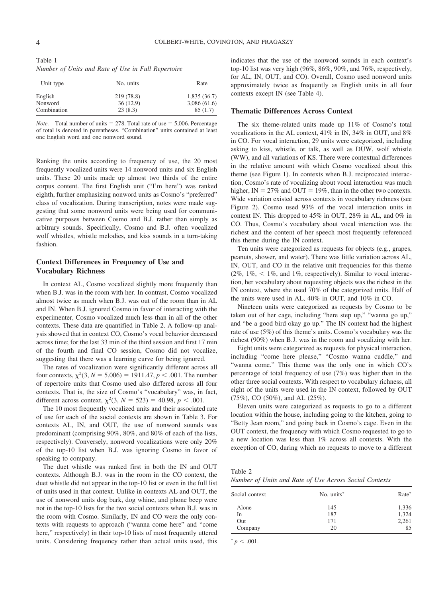| Table 1 |                                                    |  |
|---------|----------------------------------------------------|--|
|         | Number of Units and Rate of Use in Full Repertoire |  |

| Unit type   | No. units  | Rate        |  |
|-------------|------------|-------------|--|
| English     | 219 (78.8) | 1,835(36.7) |  |
| Nonword     | 36(12.9)   | 3,086(61.6) |  |
| Combination | 23(8.3)    | 85(1.7)     |  |

*Note.* Total number of units  $= 278$ . Total rate of use  $= 5,006$ . Percentage of total is denoted in parentheses. "Combination" units contained at least one English word and one nonword sound.

Ranking the units according to frequency of use, the 20 most frequently vocalized units were 14 nonword units and six English units. These 20 units made up almost two thirds of the entire corpus content. The first English unit ("I'm here") was ranked eighth, further emphasizing nonword units as Cosmo's "preferred" class of vocalization. During transcription, notes were made suggesting that some nonword units were being used for communicative purposes between Cosmo and B.J. rather than simply as arbitrary sounds. Specifically, Cosmo and B.J. often vocalized wolf whistles, whistle melodies, and kiss sounds in a turn-taking fashion.

#### **Context Differences in Frequency of Use and Vocabulary Richness**

In context AL, Cosmo vocalized slightly more frequently than when B.J. was in the room with her. In contrast, Cosmo vocalized almost twice as much when B.J. was out of the room than in AL and IN. When B.J. ignored Cosmo in favor of interacting with the experimenter, Cosmo vocalized much less than in all of the other contexts. These data are quantified in Table 2. A follow-up analysis showed that in context CO, Cosmo's vocal behavior decreased across time; for the last 33 min of the third session and first 17 min of the fourth and final CO session, Cosmo did not vocalize, suggesting that there was a learning curve for being ignored.

The rates of vocalization were significantly different across all four contexts,  $\chi^2(3, N = 5,006) = 1911.47, p < .001$ . The number of repertoire units that Cosmo used also differed across all four contexts. That is, the size of Cosmo's "vocabulary" was, in fact, different across context,  $\chi^2(3, N = 523) = 40.98$ ,  $p < .001$ .

The 10 most frequently vocalized units and their associated rate of use for each of the social contexts are shown in Table 3. For contexts AL, IN, and OUT, the use of nonword sounds was predominant (comprising 90%, 80%, and 80% of each of the lists, respectively). Conversely, nonword vocalizations were only 20% of the top-10 list when B.J. was ignoring Cosmo in favor of speaking to company.

The duet whistle was ranked first in both the IN and OUT contexts. Although B.J. was in the room in the CO context, the duet whistle did not appear in the top-10 list or even in the full list of units used in that context. Unlike in contexts AL and OUT, the use of nonword units dog bark, dog whine, and phone beep were not in the top-10 lists for the two social contexts when B.J. was in the room with Cosmo. Similarly, IN and CO were the only contexts with requests to approach ("wanna come here" and "come here," respectively) in their top-10 lists of most frequently uttered units. Considering frequency rather than actual units used, this indicates that the use of the nonword sounds in each context's top-10 list was very high (96%, 86%, 90%, and 76%, respectively, for AL, IN, OUT, and CO). Overall, Cosmo used nonword units approximately twice as frequently as English units in all four contexts except IN (see Table 4).

#### **Thematic Differences Across Context**

The six theme-related units made up 11% of Cosmo's total vocalizations in the AL context, 41% in IN, 34% in OUT, and 8% in CO. For vocal interaction, 29 units were categorized, including asking to kiss, whistle, or talk, as well as DUW, wolf whistle (WW), and all variations of KS. There were contextual differences in the relative amount with which Cosmo vocalized about this theme (see Figure 1). In contexts when B.J. reciprocated interaction, Cosmo's rate of vocalizing about vocal interaction was much higher,  $IN = 27\%$  and  $OUT = 19\%$ , than in the other two contexts. Wide variation existed across contexts in vocabulary richness (see Figure 2). Cosmo used 93% of the vocal interaction units in context IN. This dropped to 45% in OUT, 28% in AL, and 0% in CO. Thus, Cosmo's vocabulary about vocal interaction was the richest and the content of her speech most frequently referenced this theme during the IN context.

Ten units were categorized as requests for objects (e.g., grapes, peanuts, shower, and water). There was little variation across AL, IN, OUT, and CO in the relative unit frequencies for this theme  $(2\%, 1\%, < 1\%, \text{ and } 1\%, \text{ respectively})$ . Similar to vocal interaction, her vocabulary about requesting objects was the richest in the IN context, where she used 70% of the categorized units. Half of the units were used in AL, 40% in OUT, and 10% in CO.

Nineteen units were categorized as requests by Cosmo to be taken out of her cage, including "here step up," "wanna go up," and "be a good bird okay go up." The IN context had the highest rate of use (5%) of this theme's units. Cosmo's vocabulary was the richest (90%) when B.J. was in the room and vocalizing with her.

Eight units were categorized as requests for physical interaction, including "come here please," "Cosmo wanna cuddle," and "wanna come." This theme was the only one in which CO's percentage of total frequency of use (7%) was higher than in the other three social contexts. With respect to vocabulary richness, all eight of the units were used in the IN context, followed by OUT (75%), CO (50%), and AL (25%).

Eleven units were categorized as requests to go to a different location within the house, including going to the kitchen, going to "Betty Jean room," and going back in Cosmo's cage. Even in the OUT context, the frequency with which Cosmo requested to go to a new location was less than 1% across all contexts. With the exception of CO, during which no requests to move to a different

| Table 2 |  |  |  |  |                                                        |
|---------|--|--|--|--|--------------------------------------------------------|
|         |  |  |  |  | Number of Units and Rate of Use Across Social Contexts |

| Social context | No. units <sup>*</sup> | Rate* |
|----------------|------------------------|-------|
| Alone          | 145                    | 1,336 |
| In             | 187                    | 1,324 |
| Out            | 171                    | 2,261 |
| Company        | 20                     | 85    |
|                |                        |       |

 $p < .001$ .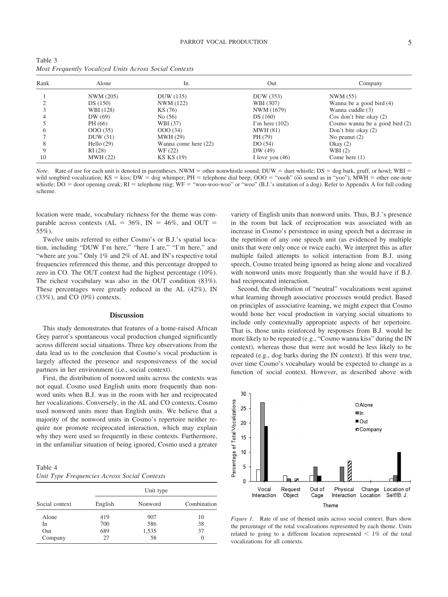| Rank | Alone           | 1 <sub>n</sub>       | Out               | Company                          |
|------|-----------------|----------------------|-------------------|----------------------------------|
|      | NWM (205)       | DUW (135)            | DUW (353)         | NWM (55)                         |
|      | DS(150)         | NWM (122)            | WBI (307)         | Wanna be a good bird (4)         |
|      | WBI (128)       | KS (76)              | NWM (1679)        | Wanna cuddle (3)                 |
|      | DW(69)          | No(56)               | DS(160)           | Cos don't bite okay $(2)$        |
|      | PH (66)         | WBI (37)             | I'm here $(102)$  | Cosmo wanna be a good bird $(2)$ |
|      | 000(35)         | 000(34)              | <b>MWH (81)</b>   | Don't bite okay (2)              |
|      | DUW(31)         | <b>MWH (29)</b>      | PH (79)           | No peanut $(2)$                  |
| 8    | Hello $(29)$    | Wanna come here (22) | DO(54)            | Okay $(2)$                       |
|      | RI(28)          | WF (22)              | DW (49)           | WBI $(2)$                        |
| 10   | <b>MWH (22)</b> | KS KS (19)           | I love you $(46)$ | Come here $(1)$                  |

| Table 3                                                |  |  |
|--------------------------------------------------------|--|--|
| Most Frequently Vocalized Units Across Social Contexts |  |  |

*Note*. Rate of use for each unit is denoted in parentheses. NWM = other nonwhistle sound; DUW = duet whistle; DS = dog bark, gruff, or howl; WBI = wild songbird vocalization; KS = kiss; DW = dog whimper; PH = telephone dial beep; OOO = "oooh" (oo sound as in "yoo"); MWH = other one-note whistle; DO = door opening creak; RI = telephone ring; WF = "woo-woo-woo" or "woo" (B.J.'s imitation of a dog). Refer to Appendix A for full coding scheme.

location were made, vocabulary richness for the theme was comparable across contexts ( $AL = 36\%$ ,  $IN = 46\%$ , and OUT = 55%).

Twelve units referred to either Cosmo's or B.J.'s spatial location, including "DUW I'm here," "here I are," "I'm here," and "where are you." Only 1% and 2% of AL and IN's respective total frequencies referenced this theme, and this percentage dropped to zero in CO. The OUT context had the highest percentage (10%). The richest vocabulary was also in the OUT condition (83%). These percentages were greatly reduced in the AL (42%), IN (33%), and CO (0%) contexts.

#### **Discussion**

This study demonstrates that features of a home-raised African Grey parrot's spontaneous vocal production changed significantly across different social situations. Three key observations from the data lead us to the conclusion that Cosmo's vocal production is largely affected the presence and responsiveness of the social partners in her environment (i.e., social context).

First, the distribution of nonword units across the contexts was not equal. Cosmo used English units more frequently than nonword units when B.J. was in the room with her and reciprocated her vocalizations. Conversely, in the AL and CO contexts, Cosmo used nonword units more than English units. We believe that a majority of the nonword units in Cosmo's repertoire neither require nor promote reciprocated interaction, which may explain why they were used so frequently in these contexts. Furthermore, in the unfamiliar situation of being ignored, Cosmo used a greater

Table 4 *Unit Type Frequencies Across Social Contexts*

|                |         | Unit type |                  |
|----------------|---------|-----------|------------------|
| Social context | English | Nonword   | Combination      |
| Alone          | 419     | 907       | 10               |
| In             | 700     | 586       | 38               |
| Out            | 689     | 1,535     | 37               |
| Company        | 27      | 58        | $\left( \right)$ |

variety of English units than nonword units. Thus, B.J.'s presence in the room but lack of reciprocation was associated with an increase in Cosmo's persistence in using speech but a decrease in the repetition of any one speech unit (as evidenced by multiple units that were only once or twice each). We interpret this as after multiple failed attempts to solicit interaction from B.J. using speech, Cosmo treated being ignored as being alone and vocalized with nonword units more frequently than she would have if B.J. had reciprocated interaction.

Second, the distribution of "neutral" vocalizations went against what learning through associative processes would predict. Based on principles of associative learning, we might expect that Cosmo would hone her vocal production in varying social situations to include only contextually appropriate aspects of her repertoire. That is, those units reinforced by responses from B.J. would be more likely to be repeated (e.g., "Cosmo wanna kiss" during the IN context), whereas those that were not would be less likely to be repeated (e.g., dog barks during the IN context). If this were true, over time Cosmo's vocabulary would be expected to change as a function of social context. However, as described above with



*Figure 1.* Rate of use of themed units across social context. Bars show the percentage of the total vocalizations represented by each theme. Units related to going to a different location represented  $\lt$  1% of the total vocalizations for all contexts.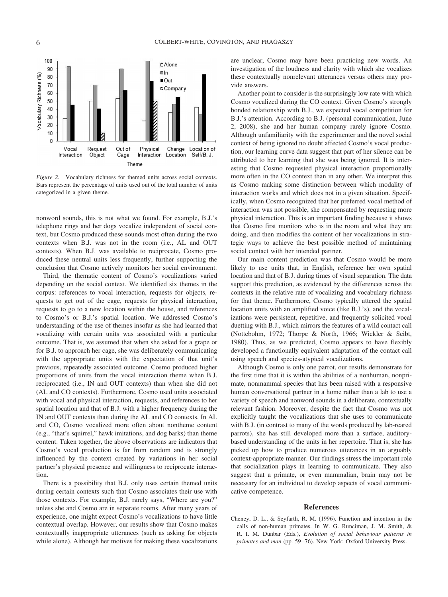

*Figure 2.* Vocabulary richness for themed units across social contexts. Bars represent the percentage of units used out of the total number of units categorized in a given theme.

nonword sounds, this is not what we found. For example, B.J.'s telephone rings and her dogs vocalize independent of social context, but Cosmo produced these sounds most often during the two contexts when B.J. was not in the room (i.e., AL and OUT contexts). When B.J. was available to reciprocate, Cosmo produced these neutral units less frequently, further supporting the conclusion that Cosmo actively monitors her social environment.

Third, the thematic content of Cosmo's vocalizations varied depending on the social context. We identified six themes in the corpus: references to vocal interaction, requests for objects, requests to get out of the cage, requests for physical interaction, requests to go to a new location within the house, and references to Cosmo's or B.J.'s spatial location. We addressed Cosmo's understanding of the use of themes insofar as she had learned that vocalizing with certain units was associated with a particular outcome. That is, we assumed that when she asked for a grape or for B.J. to approach her cage, she was deliberately communicating with the appropriate units with the expectation of that unit's previous, repeatedly associated outcome. Cosmo produced higher proportions of units from the vocal interaction theme when B.J. reciprocated (i.e., IN and OUT contexts) than when she did not (AL and CO contexts). Furthermore, Cosmo used units associated with vocal and physical interaction, requests, and references to her spatial location and that of B.J. with a higher frequency during the IN and OUT contexts than during the AL and CO contexts. In AL and CO, Cosmo vocalized more often about nontheme content (e.g., "that's squirrel," hawk imitations, and dog barks) than theme content. Taken together, the above observations are indicators that Cosmo's vocal production is far from random and is strongly influenced by the context created by variations in her social partner's physical presence and willingness to reciprocate interaction.

There is a possibility that B.J. only uses certain themed units during certain contexts such that Cosmo associates their use with those contexts. For example, B.J. rarely says, "Where are you?" unless she and Cosmo are in separate rooms. After many years of experience, one might expect Cosmo's vocalizations to have little contextual overlap. However, our results show that Cosmo makes contextually inappropriate utterances (such as asking for objects while alone). Although her motives for making these vocalizations are unclear, Cosmo may have been practicing new words. An investigation of the loudness and clarity with which she vocalizes these contextually nonrelevant utterances versus others may provide answers.

Another point to consider is the surprisingly low rate with which Cosmo vocalized during the CO context. Given Cosmo's strongly bonded relationship with B.J., we expected vocal competition for B.J.'s attention. According to B.J. (personal communication, June 2, 2008), she and her human company rarely ignore Cosmo. Although unfamiliarity with the experimenter and the novel social context of being ignored no doubt affected Cosmo's vocal production, our learning curve data suggest that part of her silence can be attributed to her learning that she was being ignored. It is interesting that Cosmo requested physical interaction proportionally more often in the CO context than in any other. We interpret this as Cosmo making some distinction between which modality of interaction works and which does not in a given situation. Specifically, when Cosmo recognized that her preferred vocal method of interaction was not possible, she compensated by requesting more physical interaction. This is an important finding because it shows that Cosmo first monitors who is in the room and what they are doing, and then modifies the content of her vocalizations in strategic ways to achieve the best possible method of maintaining social contact with her intended partner.

Our main content prediction was that Cosmo would be more likely to use units that, in English, reference her own spatial location and that of B.J. during times of visual separation. The data support this prediction, as evidenced by the differences across the contexts in the relative rate of vocalizing and vocabulary richness for that theme. Furthermore, Cosmo typically uttered the spatial location units with an amplified voice (like B.J.'s), and the vocalizations were persistent, repetitive, and frequently solicited vocal duetting with B.J., which mirrors the features of a wild contact call (Nottebohm, 1972; Thorpe & North, 1966; Wickler & Seibt, 1980). Thus, as we predicted, Cosmo appears to have flexibly developed a functionally equivalent adaptation of the contact call using speech and species-atypical vocalizations.

Although Cosmo is only one parrot, our results demonstrate for the first time that it is within the abilities of a nonhuman, nonprimate, nonmammal species that has been raised with a responsive human conversational partner in a home rather than a lab to use a variety of speech and nonword sounds in a deliberate, contextually relevant fashion. Moreover, despite the fact that Cosmo was not explicitly taught the vocalizations that she uses to communicate with B.J. (in contrast to many of the words produced by lab-reared parrots), she has still developed more than a surface, auditorybased understanding of the units in her repertoire. That is, she has picked up how to produce numerous utterances in an arguably context-appropriate manner. Our findings stress the important role that socialization plays in learning to communicate. They also suggest that a primate, or even mammalian, brain may not be necessary for an individual to develop aspects of vocal communicative competence.

#### **References**

Cheney, D. L., & Seyfarth, R. M. (1996). Function and intention in the calls of non-human primates. In W. G. Runciman, J. M. Smith, & R. I. M. Dunbar (Eds.), *Evolution of social behaviour patterns in primates and man* (pp. 59 –76). New York: Oxford University Press.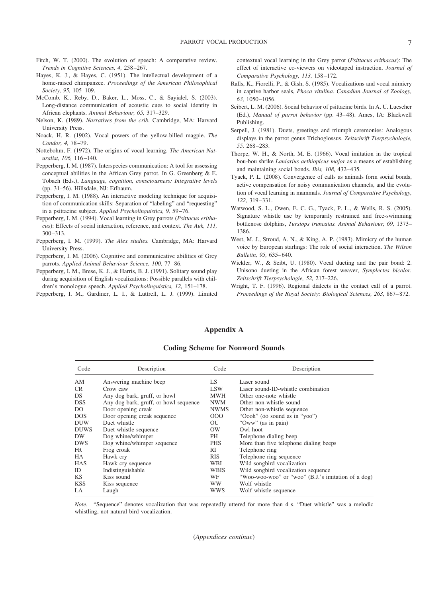- Fitch, W. T. (2000). The evolution of speech: A comparative review. *Trends in Cognitive Sciences, 4,* 258 –267.
- Hayes, K. J., & Hayes, C. (1951). The intellectual development of a home-raised chimpanzee. *Proceedings of the American Philosophical Society, 95,* 105–109.
- McComb, K., Reby, D., Baker, L., Moss, C., & Sayialel, S. (2003). Long-distance communication of acoustic cues to social identity in African elephants. *Animal Behaviour, 65,* 317–329.
- Nelson, K. (1989). *Narratives from the crib.* Cambridge, MA: Harvard University Press.
- Noack, H. R. (1902). Vocal powers of the yellow-billed magpie. *The Condor, 4,* 78 –79.
- Nottebohm, F. (1972). The origins of vocal learning. *The American Naturalist, 106,* 116 –140.
- Pepperberg, I. M. (1987). Interspecies communication: A tool for assessing conceptual abilities in the African Grey parrot. In G. Greenberg & E. Tobach (Eds.), *Language, cognition, consciousness: Integrative levels* (pp. 31–56). Hillsdale, NJ: Erlbaum.
- Pepperberg, I. M. (1988). An interactive modeling technique for acquisition of communication skills: Separation of "labeling" and "requesting" in a psittacine subject. *Applied Psycholinguistics, 9,* 59 –76.
- Pepperberg, I. M. (1994). Vocal learning in Grey parrots (*Psittacus erithacus*): Effects of social interaction, reference, and context. *The Auk, 111,* 300 –313.
- Pepperberg, I. M. (1999). *The Alex studies.* Cambridge, MA: Harvard University Press.
- Pepperberg, I. M. (2006). Cognitive and communicative abilities of Grey parrots. *Applied Animal Behaviour Science, 100,* 77– 86.
- Pepperberg, I. M., Brese, K. J., & Harris, B. J. (1991). Solitary sound play during acquisition of English vocalizations: Possible parallels with children's monologue speech. *Applied Psycholinguistics, 12,* 151–178.
- Pepperberg, I. M., Gardiner, L. I., & Luttrell, L. J. (1999). Limited

contextual vocal learning in the Grey parrot (*Psittacus erithacus*): The effect of interactive co-viewers on videotaped instruction. *Journal of Comparative Psychology, 113,* 158 –172.

- Ralls, K., Fiorelli, P., & Gish, S. (1985). Vocalizations and vocal mimicry in captive harbor seals, *Phoca vitulina. Canadian Journal of Zoology, 63,* 1050 –1056.
- Seibert, L. M. (2006). Social behavior of psittacine birds. In A. U. Luescher (Ed.), *Manual of parrot behavior* (pp. 43– 48). Ames, IA: Blackwell Publishing.
- Serpell, J. (1981). Duets, greetings and triumph ceremonies: Analogous displays in the parrot genus Trichoglossus. *Zeitschrift Tierpsychologie, 55,* 268 –283.
- Thorpe, W. H., & North, M. E. (1966). Vocal imitation in the tropical bou-bou shrike *Laniarius aethiopicus major* as a means of establishing and maintaining social bonds. *Ibis, 108,* 432– 435.
- Tyack, P. L. (2008). Convergence of calls as animals form social bonds, active compensation for noisy communication channels, and the evolution of vocal learning in mammals. *Journal of Comparative Psychology, 122,* 319 –331.
- Watwood, S. L., Owen, E. C. G., Tyack, P. L., & Wells, R. S. (2005). Signature whistle use by temporarily restrained and free-swimming bottlenose dolphins, *Tursiops truncatus. Animal Behaviour, 69,* 1373– 1386.
- West, M. J., Stroud, A. N., & King, A. P. (1983). Mimicry of the human voice by European starlings: The role of social interaction. *The Wilson Bulletin, 95,* 635– 640.
- Wickler, W., & Seibt, U. (1980). Vocal dueting and the pair bond: 2. Unisono dueting in the African forest weaver, *Symplectes bicolor. Zeitschrift Tierpsychologie, 52,* 217–226.
- Wright, T. F. (1996). Regional dialects in the contact call of a parrot. *Proceedings of the Royal Society: Biological Sciences, 263,* 867– 872.

#### **Appendix A**

#### **Coding Scheme for Nonword Sounds**

| Code        | Description                           | Code        | Description                                        |
|-------------|---------------------------------------|-------------|----------------------------------------------------|
| AM          | Answering machine beep                | LS.         | Laser sound                                        |
| CR.         | Crow caw                              | <b>LSW</b>  | Laser sound-ID-whistle combination                 |
| DS.         | Any dog bark, gruff, or howl          | <b>MWH</b>  | Other one-note whistle                             |
| <b>DSS</b>  | Any dog bark, gruff, or howl sequence | <b>NWM</b>  | Other non-whistle sound                            |
| DO.         | Door opening creak                    | <b>NWMS</b> | Other non-whistle sequence                         |
| DOS.        | Door opening creak sequence           | 000         | "Oooh" ( $\overline{00}$ sound as in "yoo")        |
| <b>DUW</b>  | Duet whistle                          | OU          | "Oww" (as in pain)                                 |
| <b>DUWS</b> | Duet whistle sequence                 | OW          | Owl hoot                                           |
| DW          | Dog whine/whimper                     | PH          | Telephone dialing beep                             |
| <b>DWS</b>  | Dog whine/whimper sequence            | <b>PHS</b>  | More than five telephone dialing beeps             |
| FR.         | Frog croak                            | RI          | Telephone ring                                     |
| HA.         | Hawk cry                              | <b>RIS</b>  | Telephone ring sequence                            |
| <b>HAS</b>  | Hawk cry sequence                     | WBI         | Wild songbird vocalization                         |
| ID          | Indistinguishable                     | <b>WBIS</b> | Wild songbird vocalization sequence                |
| KS.         | Kiss sound                            | WF          | "Woo-woo-woo" or "woo" (B.J.'s imitation of a dog) |
| <b>KSS</b>  | Kiss sequence                         | WW          | Wolf whistle                                       |
| LA.         | Laugh                                 | <b>WWS</b>  | Wolf whistle sequence                              |

*Note*. "Sequence" denotes vocalization that was repeatedly uttered for more than 4 s. "Duet whistle" was a melodic whistling, not natural bird vocalization.

(*Appendices continue*)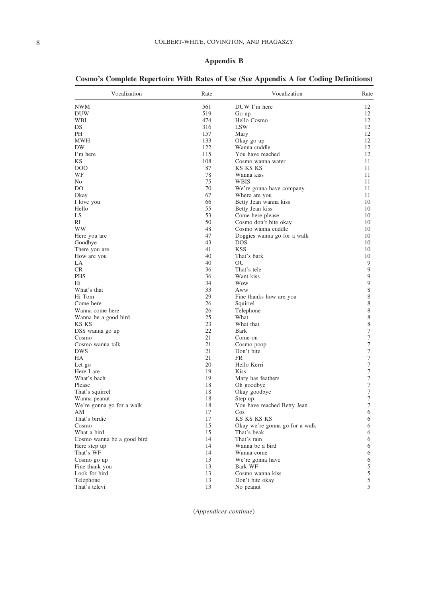### **Appendix B**

| Vocalization                    | Rate     | Vocalization                   | Rate             |
|---------------------------------|----------|--------------------------------|------------------|
| NWM                             | 561      | DUW I'm here                   | 12               |
| DUW                             | 519      | Go up                          | 12               |
| WBI                             | 474      | Hello Cosmo                    | 12               |
| DS                              | 316      | LSW                            | 12               |
| PН                              | 157      | Mary                           | 12               |
| MWH                             | 133      | Okay go up                     | 12               |
| DW                              | 122      | Wanna cuddle                   | 12               |
| I'm here                        | 115      | You have reached               | 12               |
| KS                              | 108      | Cosmo wanna water              | 11               |
| 000                             | 87       | KS KS KS                       | 11               |
| WF                              | 78       | Wanna kiss                     | 11               |
| No                              | 75       | WBIS                           | 11               |
| DO                              | 70       | We're gonna have company       | 11               |
| Okay                            | 67       | Where are you                  | 11               |
| I love you                      | 66       | Betty Jean wanna kiss          | 10               |
| Hello                           | 55       | Betty Jean kiss                | 10               |
| LS                              | 53       | Come here please               | 10               |
| RI                              | 50       | Cosmo don't bite okay          | 10               |
| WW                              | 48       | Cosmo wanna cuddle             | 10               |
| Here you are                    | 47       | Doggies wanna go for a walk    | 10               |
| Goodbye                         | 43       | <b>DOS</b>                     | 10               |
| There you are                   | 41       | <b>KSS</b>                     | 10               |
| How are you                     | 40       | That's bark                    | 10               |
| LA                              | 40       | OU                             | 9                |
| CR.                             | 36       | That's tele                    | 9                |
| <b>PHS</b>                      | 36       | Want kiss                      | 9                |
| Нi                              | 34       | Wow                            | $\boldsymbol{9}$ |
| What's that                     | 33       | Aww                            | 8                |
| Hi Tom                          | 29       | Fine thanks how are you        | 8                |
| Come here                       | 26       | Squirrel                       | 8                |
| Wanna come here                 | 26       | Telephone                      | 8                |
| Wanna be a good bird            | 25       | What                           | 8                |
| KS KS                           | 23       | What that                      | $\,$ 8 $\,$      |
| DSS wanna go up                 | 22       | Bark                           | $\boldsymbol{7}$ |
| Cosmo                           | 21       | Come on                        | $\tau$           |
| Cosmo wanna talk                | 21       | Cosmo poop                     | $\boldsymbol{7}$ |
| DWS                             | 21       | Don't bite                     | $\tau$           |
| HА                              | 21       | FR                             | $\boldsymbol{7}$ |
| Let go                          | 20       | Hello Kerri                    | $\tau$           |
| Here I are                      | 19       | <b>Kiss</b>                    | $\boldsymbol{7}$ |
| What's bach                     | 19       | Mary has feathers              | $\tau$           |
| Please                          | 18       | Oh goodbye                     | $\boldsymbol{7}$ |
|                                 | 18       |                                | $\tau$           |
| That's squirrel<br>Wanna peanut | 18       | Okay goodbye                   | 7                |
|                                 |          | Step up                        | $\boldsymbol{7}$ |
| We're gonna go for a walk       | 18<br>17 | You have reached Betty Jean    |                  |
| AΜ                              |          | Cos                            | 6                |
| That's birdie                   | 17       | KS KS KS KS                    | 6                |
| Cosmo<br>What a bird            | 15       | Okay we're gonna go for a walk | 6                |
|                                 | 15       | That's beak                    | 6                |
| Cosmo wanna be a good bird      | 14       | That's rain                    | 6                |
| Here step up                    | 14       | Wanna be a bird                | 6                |
| That's WF                       | 14       | Wanna come                     | 6                |
| Cosmo go up                     | 13       | We're gonna have               | 6                |
| Fine thank you                  | 13       | Bark WF                        | $\mathfrak s$    |
| Look for bird                   | 13       | Cosmo wanna kiss               | $\sqrt{5}$       |
| Telephone                       | 13       | Don't bite okay                | 5                |
| That's televi                   | 13       | No peanut                      | 5                |

|  |  | Cosmo's Complete Repertoire With Rates of Use (See Appendix A for Coding Definitions) |
|--|--|---------------------------------------------------------------------------------------|
|--|--|---------------------------------------------------------------------------------------|

(*Appendices continue*)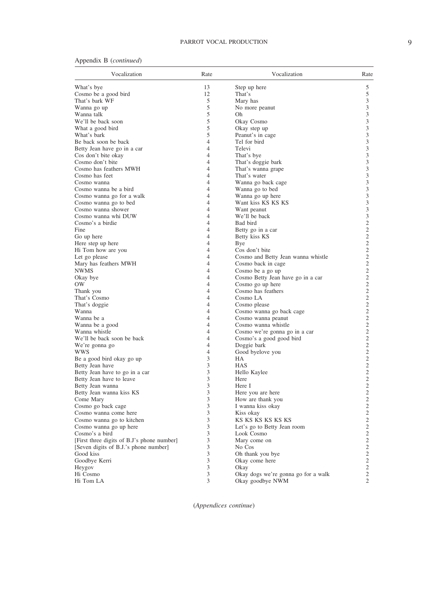### PARROT VOCAL PRODUCTION 9

| Appendix B ( <i>continued</i> ) |  |
|---------------------------------|--|
|---------------------------------|--|

| Vocalization                               | Rate | Vocalization                        | Rate           |
|--------------------------------------------|------|-------------------------------------|----------------|
| What's bye                                 | 13   | Step up here                        | 5              |
| Cosmo be a good bird                       | 12   | That's                              | 5              |
| That's bark WF                             | 5    | Mary has                            | 3              |
| Wanna go up                                | 5    | No more peanut                      | 3              |
| Wanna talk                                 | 5    | Oh                                  | 3              |
| We'll be back soon                         | 5    | Okay Cosmo                          | 3              |
| What a good bird                           | 5    | Okay step up                        | 3              |
| What's bark                                | 5    | Peanut's in cage                    | 3              |
| Be back soon be back                       | 4    | Tel for bird                        | 3              |
| Betty Jean have go in a car                | 4    | Televi                              | 3              |
| Cos don't bite okay                        | 4    | That's bye                          | 3              |
| Cosmo don't bite                           | 4    | That's doggie bark                  | 3              |
| Cosmo has feathers MWH                     | 4    | That's wanna grape                  | 3              |
| Cosmo has feet                             | 4    | That's water                        | 3              |
|                                            | 4    |                                     | 3              |
| Cosmo wanna                                | 4    | Wanna go back cage                  | 3              |
| Cosmo wanna be a bird                      | 4    | Wanna go to bed                     |                |
| Cosmo wanna go for a walk                  |      | Wanna go up here                    | 3              |
| Cosmo wanna go to bed                      | 4    | Want kiss KS KS KS                  | 3              |
| Cosmo wanna shower                         | 4    | Want peanut                         | 3              |
| Cosmo wanna whi DUW                        | 4    | We'll be back                       | 3              |
| Cosmo's a birdie                           | 4    | Bad bird                            | 2              |
| Fine                                       | 4    | Betty go in a car                   | $\mathfrak{2}$ |
| Go up here                                 | 4    | Betty kiss KS                       | $\overline{2}$ |
| Here step up here                          | 4    | Bye                                 | $\mathfrak{2}$ |
| Hi Tom how are you                         | 4    | Cos don't bite                      | 2              |
| Let go please                              | 4    | Cosmo and Betty Jean wanna whistle  | 2              |
| Mary has feathers MWH                      | 4    | Cosmo back in cage                  | $\overline{c}$ |
| <b>NWMS</b>                                | 4    | Cosmo be a go up                    | $\overline{2}$ |
| Okay bye                                   | 4    | Cosmo Betty Jean have go in a car   | $\overline{c}$ |
| OW                                         | 4    | Cosmo go up here                    | $\overline{2}$ |
| Thank you                                  | 4    | Cosmo has feathers                  | $\overline{c}$ |
| That's Cosmo                               | 4    | Cosmo LA                            | $\mathfrak{2}$ |
| That's doggie                              | 4    | Cosmo please                        | $\overline{2}$ |
| Wanna                                      | 4    | Cosmo wanna go back cage            | $\mathfrak{2}$ |
| Wanna be a                                 | 4    | Cosmo wanna peanut                  | $\overline{2}$ |
| Wanna be a good                            | 4    | Cosmo wanna whistle                 | $\mathfrak{2}$ |
| Wanna whistle                              | 4    | Cosmo we're gonna go in a car       | $\overline{2}$ |
| We'll be back soon be back                 | 4    | Cosmo's a good good bird            | $\mathfrak{2}$ |
| We're gonna go                             | 4    | Doggie bark                         | $\overline{2}$ |
| wws                                        | 4    | Good byelove you                    | $\mathfrak{2}$ |
| Be a good bird okay go up                  | 3    | HA                                  | $\overline{2}$ |
| Betty Jean have                            | 3    | <b>HAS</b>                          | $\overline{2}$ |
| Betty Jean have to go in a car             | 3    | Hello Kaylee                        | $\overline{2}$ |
| Betty Jean have to leave                   | 3    | Here                                | $\overline{2}$ |
|                                            | 3    | Here I                              | $\overline{2}$ |
| Betty Jean wanna                           | 3    |                                     | 2              |
| Betty Jean wanna kiss KS                   | 3    | Here you are here                   | $\overline{c}$ |
| Come Mary                                  |      | How are thank you                   |                |
| Cosmo go back cage                         | 3    | 1 wanna kiss okay                   | 2              |
| Cosmo wanna come here                      | 3    | Kiss okay                           | 2              |
| Cosmo wanna go to kitchen                  | 3    | KS KS KS KS KS KS                   | $\mathbf{2}$   |
| Cosmo wanna go up here                     | 3    | Let's go to Betty Jean room         | $\overline{2}$ |
| Cosmo's a bird                             | 3    | Look Cosmo                          | $\mathbf{2}$   |
| [First three digits of B.J's phone number] | 3    | Mary come on                        | $\mathbf{2}$   |
| [Seven digits of B.J.'s phone number]      | 3    | No Cos                              | $\mathbf{2}$   |
| Good kiss                                  | 3    | Oh thank you bye                    | $\mathbf{2}$   |
| Goodbye Kerri                              | 3    | Okay come here                      | $\mathbf{2}$   |
| Heygov                                     | 3    | Okay                                | $\overline{2}$ |
| Hi Cosmo                                   | 3    | Okay dogs we're gonna go for a walk | $\mathbf{2}$   |
| Hi Tom LA                                  | 3    | Okay goodbye NWM                    | $\overline{2}$ |

(*Appendices continue*)